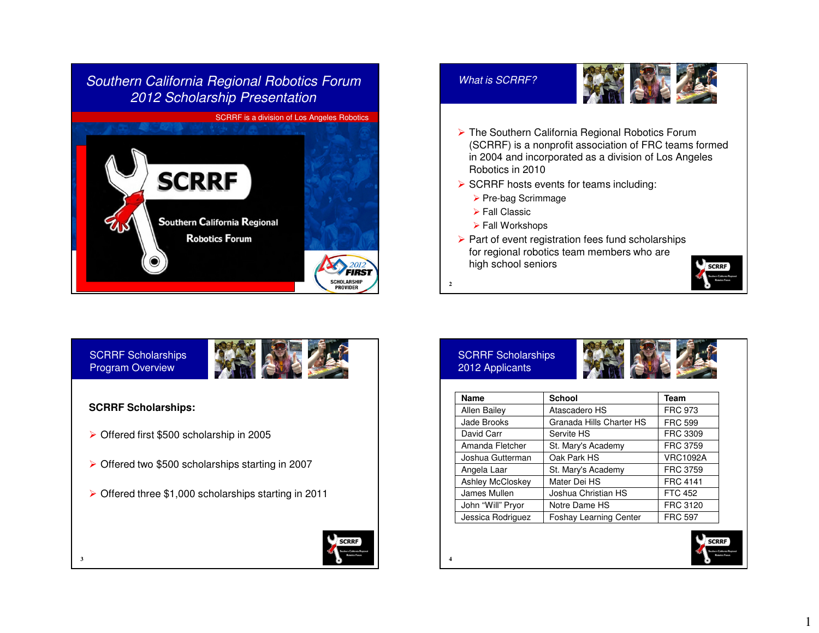





- ► The Southern California Regional Robotics Forum<br>(SCRPE) is a papprefit association of EBC tooms f (SCRRF) is a nonprofit association of FRC teams formed in 2004 and incorporated as a division of Los Angeles Robotics in 2010
- $\triangleright$  SCRRF hosts events for teams including:
	- ▶ Pre-bag Scrimmage
	- **>** Fall Classic
	- Fall Workshops
- $\triangleright$  Part of event registration fees fund scholarships for regional robotics team members who are high school seniors

**2**



#### **SCRRF Scholarships:**

**3**

- ▶ Offered first \$500 scholarship in 2005
- ▶ Offered two \$500 scholarships starting in 2007
- $\triangleright$  Offered three \$1,000 scholarships starting in 2011



#### SCRRF Scholarships 2012 Applicants



| <b>Name</b>         | <b>School</b>                 | Team            |
|---------------------|-------------------------------|-----------------|
| <b>Allen Bailey</b> | Atascadero HS                 | <b>FRC 973</b>  |
| Jade Brooks         | Granada Hills Charter HS      | <b>FRC 599</b>  |
| David Carr          | Servite HS                    | FRC 3309        |
| Amanda Fletcher     | St. Mary's Academy            | <b>FRC 3759</b> |
| Joshua Gutterman    | Oak Park HS                   | <b>VRC1092A</b> |
| Angela Laar         | St. Mary's Academy            | <b>FRC 3759</b> |
| Ashley McCloskey    | Mater Dei HS                  | <b>FRC 4141</b> |
| James Mullen        | Joshua Christian HS           | <b>FTC 452</b>  |
| John "Will" Pryor   | Notre Dame HS                 | FRC 3120        |
| Jessica Rodriguez   | <b>Foshay Learning Center</b> | <b>FRC 597</b>  |



**SCRRF** 

1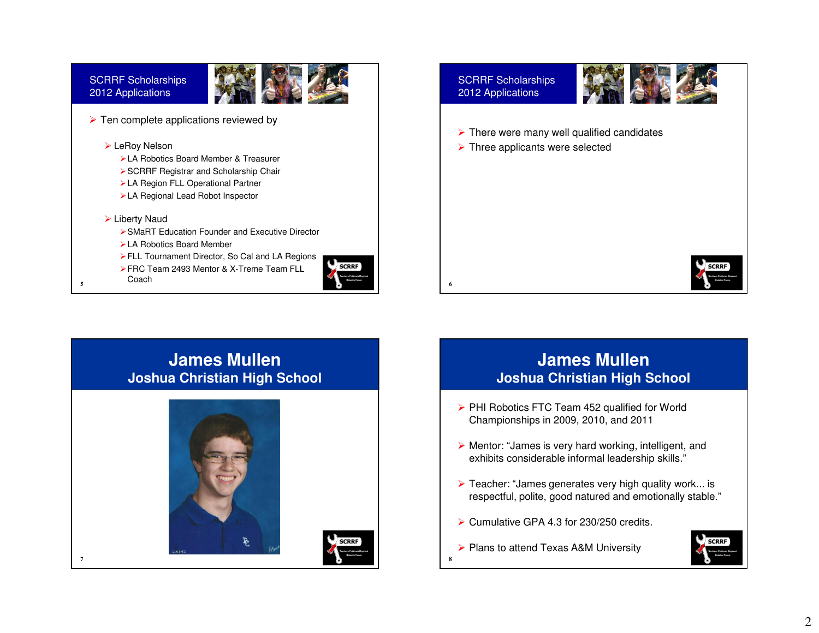

#### $\blacktriangleright$  Liberty Naud

- SMaRT Education Founder and Executive Director
- LA Robotics Board Member
- ▶ FLL Tournament Director, So Cal and LA Regions
- ▶ FRC Team 2493 Mentor & X-Treme Team FLL

**7**





**6**

**8**

#### SCRRF Scholarships2012 Applications



- $\triangleright$  There were many well qualified candidates
- **▶ Three applicants were selected**



## **James MullenJoshua Christian High School**



## **James MullenJoshua Christian High School**

- $\triangleright$  PHI Robotics FTC Team 452 qualified for World Championships in 2009, 2010, and 2011
- $\triangleright$  Mentor: "James is very hard working, intelligent, and  $\triangleright$  ovbibite canciderable informal leaderabin akilla." exhibits considerable informal leadership skills."
- ► Teacher: "James generates very high quality work... is<br>Feanaetful, polite, good patured and emationally atable respectful, polite, good natured and emotionally stable."
- Cumulative GPA 4.3 for 230/250 credits.
- ▶ Plans to attend Texas A&M University